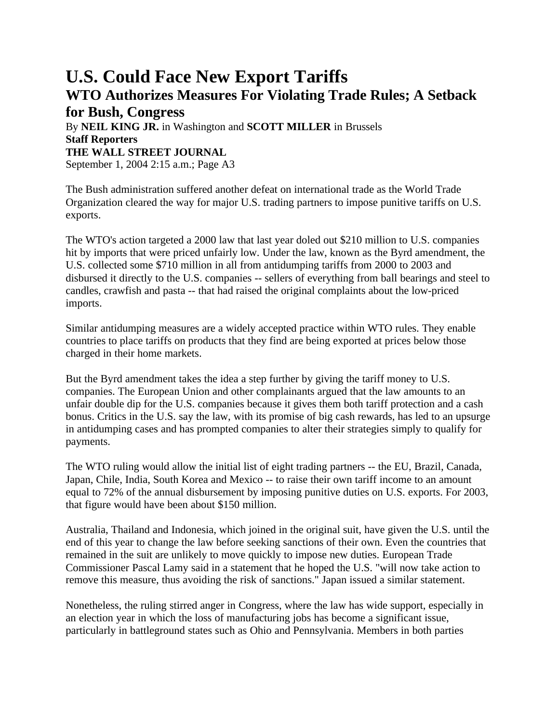## **U.S. Could Face New Export Tariffs WTO Authorizes Measures For Violating Trade Rules; A Setback**

## **for Bush, Congress** By **NEIL KING JR.** in Washington and **SCOTT MILLER** in Brussels **Staff Reporters THE WALL STREET JOURNAL** September 1, 2004 2:15 a.m.; Page A3

The Bush administration suffered another defeat on international trade as the World Trade Organization cleared the way for major U.S. trading partners to impose punitive tariffs on U.S. exports.

The WTO's action targeted a 2000 law that last year doled out \$210 million to U.S. companies hit by imports that were priced unfairly low. Under the law, known as the Byrd amendment, the U.S. collected some \$710 million in all from antidumping tariffs from 2000 to 2003 and disbursed it directly to the U.S. companies -- sellers of everything from ball bearings and steel to candles, crawfish and pasta -- that had raised the original complaints about the low-priced imports.

Similar antidumping measures are a widely accepted practice within WTO rules. They enable countries to place tariffs on products that they find are being exported at prices below those charged in their home markets.

But the Byrd amendment takes the idea a step further by giving the tariff money to U.S. companies. The European Union and other complainants argued that the law amounts to an unfair double dip for the U.S. companies because it gives them both tariff protection and a cash bonus. Critics in the U.S. say the law, with its promise of big cash rewards, has led to an upsurge in antidumping cases and has prompted companies to alter their strategies simply to qualify for payments.

The WTO ruling would allow the initial list of eight trading partners -- the EU, Brazil, Canada, Japan, Chile, India, South Korea and Mexico -- to raise their own tariff income to an amount equal to 72% of the annual disbursement by imposing punitive duties on U.S. exports. For 2003, that figure would have been about \$150 million.

Australia, Thailand and Indonesia, which joined in the original suit, have given the U.S. until the end of this year to change the law before seeking sanctions of their own. Even the countries that remained in the suit are unlikely to move quickly to impose new duties. European Trade Commissioner Pascal Lamy said in a statement that he hoped the U.S. "will now take action to remove this measure, thus avoiding the risk of sanctions." Japan issued a similar statement.

Nonetheless, the ruling stirred anger in Congress, where the law has wide support, especially in an election year in which the loss of manufacturing jobs has become a significant issue, particularly in battleground states such as Ohio and Pennsylvania. Members in both parties